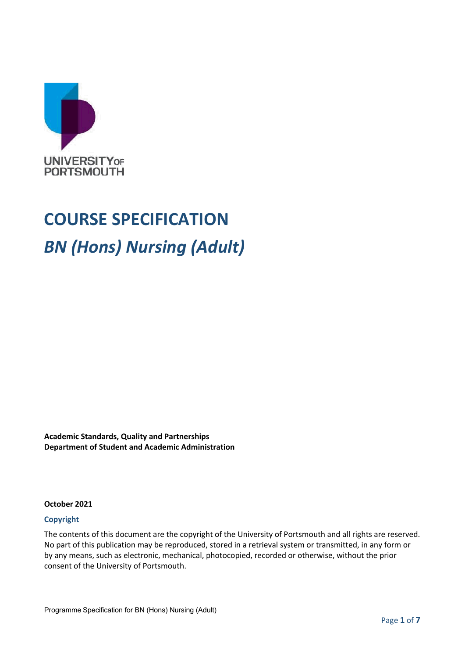

# **COURSE SPECIFICATION** *BN (Hons) Nursing (Adult)*

**Academic Standards, Quality and Partnerships Department of Student and Academic Administration**

#### **October 2021**

#### **Copyright**

The contents of this document are the copyright of the University of Portsmouth and all rights are reserved. No part of this publication may be reproduced, stored in a retrieval system or transmitted, in any form or by any means, such as electronic, mechanical, photocopied, recorded or otherwise, without the prior consent of the University of Portsmouth.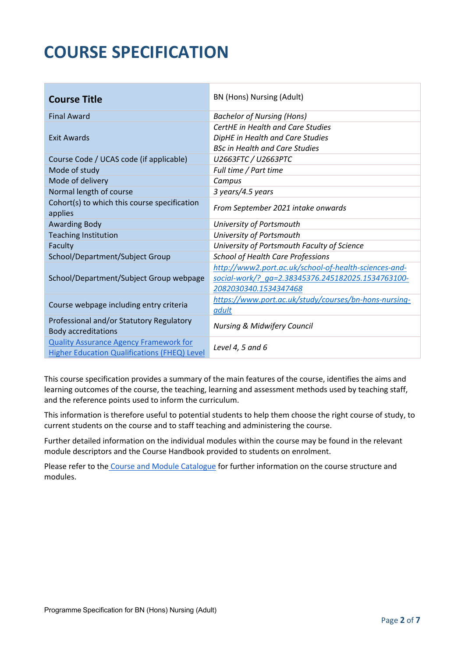## **COURSE SPECIFICATION**

| <b>Course Title</b>                                                                                  | BN (Hons) Nursing (Adult)                             |  |
|------------------------------------------------------------------------------------------------------|-------------------------------------------------------|--|
| <b>Final Award</b>                                                                                   | <b>Bachelor of Nursing (Hons)</b>                     |  |
|                                                                                                      | <b>CertHE</b> in Health and Care Studies              |  |
| <b>Exit Awards</b>                                                                                   | DipHE in Health and Care Studies                      |  |
|                                                                                                      | <b>BSc in Health and Care Studies</b>                 |  |
| Course Code / UCAS code (if applicable)                                                              | U2663FTC / U2663PTC                                   |  |
| Mode of study                                                                                        | Full time / Part time                                 |  |
| Mode of delivery                                                                                     | Campus                                                |  |
| Normal length of course                                                                              | 3 years/4.5 years                                     |  |
| Cohort(s) to which this course specification<br>applies                                              | From September 2021 intake onwards                    |  |
| <b>Awarding Body</b>                                                                                 | University of Portsmouth                              |  |
| <b>Teaching Institution</b>                                                                          | University of Portsmouth                              |  |
| Faculty                                                                                              | University of Portsmouth Faculty of Science           |  |
| School/Department/Subject Group                                                                      | <b>School of Health Care Professions</b>              |  |
|                                                                                                      | http://www2.port.ac.uk/school-of-health-sciences-and- |  |
| School/Department/Subject Group webpage                                                              | social-work/? ga=2.38345376.245182025.1534763100-     |  |
|                                                                                                      | 2082030340.1534347468                                 |  |
| Course webpage including entry criteria                                                              | https://www.port.ac.uk/study/courses/bn-hons-nursing- |  |
|                                                                                                      | adult                                                 |  |
| Professional and/or Statutory Regulatory<br><b>Body accreditations</b>                               | <b>Nursing &amp; Midwifery Council</b>                |  |
| <b>Quality Assurance Agency Framework for</b><br><b>Higher Education Qualifications (FHEQ) Level</b> | Level 4, 5 and 6                                      |  |

This course specification provides a summary of the main features of the course, identifies the aims and learning outcomes of the course, the teaching, learning and assessment methods used by teaching staff, and the reference points used to inform the curriculum.

This information is therefore useful to potential students to help them choose the right course of study, to current students on the course and to staff teaching and administering the course.

Further detailed information on the individual modules within the course may be found in the relevant module descriptors and the Course Handbook provided to students on enrolment.

Please refer to the [Course and Module Catalogue](https://course-module-catalog.port.ac.uk/#/) for further information on the course structure and modules.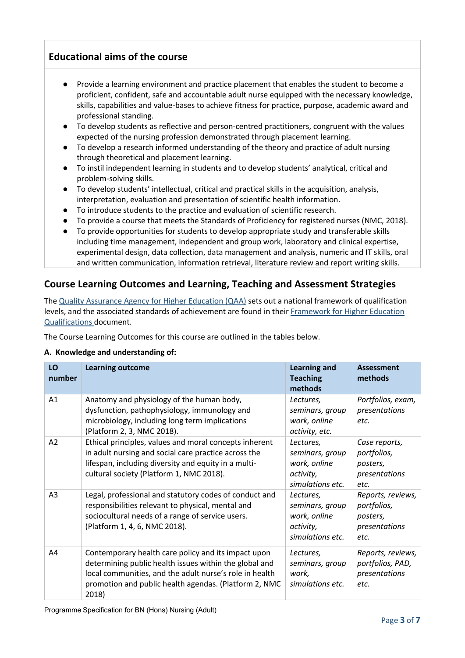## **Educational aims of the course**

- Provide a learning environment and practice placement that enables the student to become a proficient, confident, safe and accountable adult nurse equipped with the necessary knowledge, skills, capabilities and value-bases to achieve fitness for practice, purpose, academic award and professional standing.
- To develop students as reflective and person-centred practitioners, congruent with the values expected of the nursing profession demonstrated through placement learning.
- To develop a research informed understanding of the theory and practice of adult nursing through theoretical and placement learning.
- To instil independent learning in students and to develop students' analytical, critical and problem-solving skills.
- To develop students' intellectual, critical and practical skills in the acquisition, analysis, interpretation, evaluation and presentation of scientific health information.
- To introduce students to the practice and evaluation of scientific research.
- To provide a course that meets the Standards of Proficiency for registered nurses (NMC, 2018).
- To provide opportunities for students to develop appropriate study and transferable skills including time management, independent and group work, laboratory and clinical expertise, experimental design, data collection, data management and analysis, numeric and IT skills, oral and written communication, information retrieval, literature review and report writing skills.

## **Course Learning Outcomes and Learning, Teaching and Assessment Strategies**

The Quality Assurance Agency [for Higher Education \(QAA\)](http://www.qaa.ac.uk/en) sets out a national framework of qualification levels, and the associated standards of achievement are found in their [Framework for Higher Education](http://www.qaa.ac.uk/quality-code/the-existing-uk-quality-code/part-a-setting-and-maintaining-academic-standards)  [Qualifications](http://www.qaa.ac.uk/quality-code/the-existing-uk-quality-code/part-a-setting-and-maintaining-academic-standards) document.

The Course Learning Outcomes for this course are outlined in the tables below.

#### **A. Knowledge and understanding of:**

| LO<br>number   | <b>Learning outcome</b>                                                                                                                                                                                                                    | <b>Learning and</b><br><b>Teaching</b><br>methods                             | <b>Assessment</b><br>methods                                          |
|----------------|--------------------------------------------------------------------------------------------------------------------------------------------------------------------------------------------------------------------------------------------|-------------------------------------------------------------------------------|-----------------------------------------------------------------------|
| A1             | Anatomy and physiology of the human body,<br>dysfunction, pathophysiology, immunology and<br>microbiology, including long term implications<br>(Platform 2, 3, NMC 2018).                                                                  | Lectures,<br>seminars, group<br>work, online<br>activity, etc.                | Portfolios, exam,<br>presentations<br>etc.                            |
| A2             | Ethical principles, values and moral concepts inherent<br>in adult nursing and social care practice across the<br>lifespan, including diversity and equity in a multi-<br>cultural society (Platform 1, NMC 2018).                         | Lectures,<br>seminars, group<br>work, online<br>activity,<br>simulations etc. | Case reports,<br>portfolios,<br>posters,<br>presentations<br>etc.     |
| A <sub>3</sub> | Legal, professional and statutory codes of conduct and<br>responsibilities relevant to physical, mental and<br>sociocultural needs of a range of service users.<br>(Platform 1, 4, 6, NMC 2018).                                           | Lectures,<br>seminars, group<br>work, online<br>activity,<br>simulations etc. | Reports, reviews,<br>portfolios,<br>posters,<br>presentations<br>etc. |
| A4             | Contemporary health care policy and its impact upon<br>determining public health issues within the global and<br>local communities, and the adult nurse's role in health<br>promotion and public health agendas. (Platform 2, NMC<br>2018) | Lectures,<br>seminars, group<br>work,<br>simulations etc.                     | Reports, reviews,<br>portfolios, PAD,<br>presentations<br>etc.        |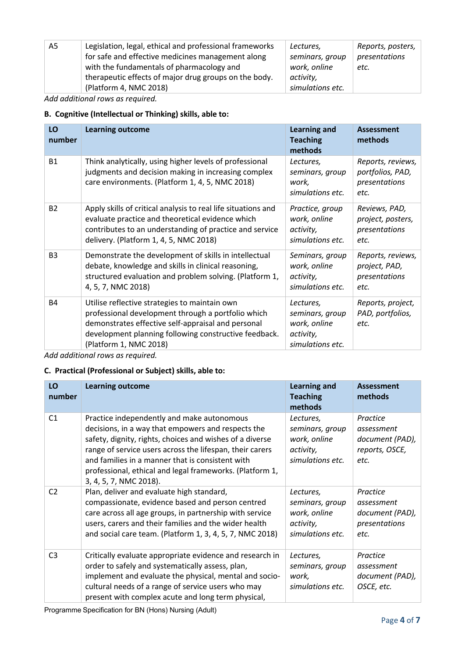| A5 | Legislation, legal, ethical and professional frameworks | Lectures,        | Reports, posters, |
|----|---------------------------------------------------------|------------------|-------------------|
|    | for safe and effective medicines management along       | seminars, group  | presentations     |
|    | with the fundamentals of pharmacology and               | work, online     | etc.              |
|    | therapeutic effects of major drug groups on the body.   | activity,        |                   |
|    | (Platform 4, NMC 2018)                                  | simulations etc. |                   |

*Add additional rows as required.*

#### **B. Cognitive (Intellectual or Thinking) skills, able to:**

| LO<br>number   | <b>Learning outcome</b>                                                                                                                                                                                                                      | <b>Learning and</b><br><b>Teaching</b><br>methods                             | <b>Assessment</b><br>methods                                   |
|----------------|----------------------------------------------------------------------------------------------------------------------------------------------------------------------------------------------------------------------------------------------|-------------------------------------------------------------------------------|----------------------------------------------------------------|
| <b>B1</b>      | Think analytically, using higher levels of professional<br>judgments and decision making in increasing complex<br>care environments. (Platform 1, 4, 5, NMC 2018)                                                                            | Lectures,<br>seminars, group<br>work,<br>simulations etc.                     | Reports, reviews,<br>portfolios, PAD,<br>presentations<br>etc. |
| <b>B2</b>      | Apply skills of critical analysis to real life situations and<br>evaluate practice and theoretical evidence which<br>contributes to an understanding of practice and service<br>delivery. (Platform 1, 4, 5, NMC 2018)                       | Practice, group<br>work, online<br>activity,<br>simulations etc.              | Reviews, PAD,<br>project, posters,<br>presentations<br>etc.    |
| B <sub>3</sub> | Demonstrate the development of skills in intellectual<br>debate, knowledge and skills in clinical reasoning,<br>structured evaluation and problem solving. (Platform 1,<br>4, 5, 7, NMC 2018)                                                | Seminars, group<br>work, online<br>activity,<br>simulations etc.              | Reports, reviews,<br>project, PAD,<br>presentations<br>etc.    |
| <b>B4</b>      | Utilise reflective strategies to maintain own<br>professional development through a portfolio which<br>demonstrates effective self-appraisal and personal<br>development planning following constructive feedback.<br>(Platform 1, NMC 2018) | Lectures,<br>seminars, group<br>work, online<br>activity,<br>simulations etc. | Reports, project,<br>PAD, portfolios,<br>etc.                  |

*Add additional rows as required.*

#### **C. Practical (Professional or Subject) skills, able to:**

| LO<br>number   | <b>Learning outcome</b>                                                                                                                                                                                                                                                                                                                                            | <b>Learning and</b><br><b>Teaching</b><br>methods                             | <b>Assessment</b><br>methods                                        |
|----------------|--------------------------------------------------------------------------------------------------------------------------------------------------------------------------------------------------------------------------------------------------------------------------------------------------------------------------------------------------------------------|-------------------------------------------------------------------------------|---------------------------------------------------------------------|
| C1             | Practice independently and make autonomous<br>decisions, in a way that empowers and respects the<br>safety, dignity, rights, choices and wishes of a diverse<br>range of service users across the lifespan, their carers<br>and families in a manner that is consistent with<br>professional, ethical and legal frameworks. (Platform 1,<br>3, 4, 5, 7, NMC 2018). | Lectures,<br>seminars, group<br>work, online<br>activity,<br>simulations etc. | Practice<br>assessment<br>document (PAD),<br>reports, OSCE,<br>etc. |
| C <sub>2</sub> | Plan, deliver and evaluate high standard,<br>compassionate, evidence based and person centred<br>care across all age groups, in partnership with service<br>users, carers and their families and the wider health<br>and social care team. (Platform 1, 3, 4, 5, 7, NMC 2018)                                                                                      | Lectures,<br>seminars, group<br>work, online<br>activity,<br>simulations etc. | Practice<br>assessment<br>document (PAD),<br>presentations<br>etc.  |
| C <sub>3</sub> | Critically evaluate appropriate evidence and research in<br>order to safely and systematically assess, plan,<br>implement and evaluate the physical, mental and socio-<br>cultural needs of a range of service users who may<br>present with complex acute and long term physical,                                                                                 | Lectures,<br>seminars, group<br>work,<br>simulations etc.                     | Practice<br>assessment<br>document (PAD),<br>OSCE, etc.             |

Programme Specification for BN (Hons) Nursing (Adult)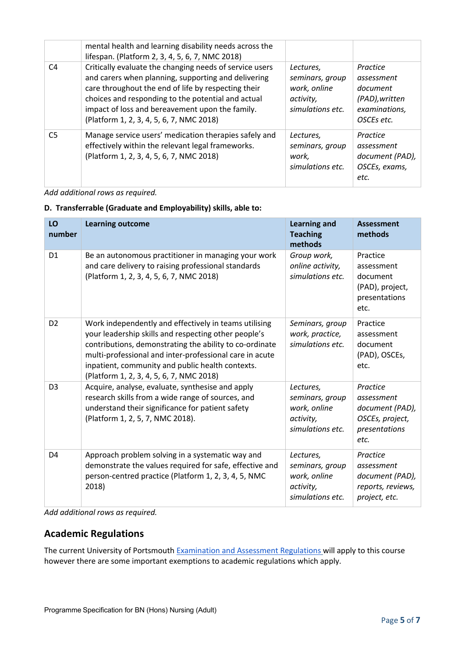|                | mental health and learning disability needs across the<br>lifespan. (Platform 2, 3, 4, 5, 6, 7, NMC 2018)                                                                                                                                                                                                                  |                                                                               |                                                                                     |
|----------------|----------------------------------------------------------------------------------------------------------------------------------------------------------------------------------------------------------------------------------------------------------------------------------------------------------------------------|-------------------------------------------------------------------------------|-------------------------------------------------------------------------------------|
| C <sub>4</sub> | Critically evaluate the changing needs of service users<br>and carers when planning, supporting and delivering<br>care throughout the end of life by respecting their<br>choices and responding to the potential and actual<br>impact of loss and bereavement upon the family.<br>(Platform 1, 2, 3, 4, 5, 6, 7, NMC 2018) | Lectures,<br>seminars, group<br>work, online<br>activity,<br>simulations etc. | Practice<br>assessment<br>document<br>(PAD), written<br>examinations,<br>OSCEs etc. |
| C <sub>5</sub> | Manage service users' medication therapies safely and<br>effectively within the relevant legal frameworks.<br>(Platform 1, 2, 3, 4, 5, 6, 7, NMC 2018)                                                                                                                                                                     | Lectures,<br>seminars, group<br>work.<br>simulations etc.                     | Practice<br>assessment<br>document (PAD),<br>OSCEs, exams,<br>etc.                  |

*Add additional rows as required.*

#### **D. Transferrable (Graduate and Employability) skills, able to:**

| LO<br>number   | <b>Learning outcome</b>                                                                                                                                                                                                                                                                                                             | <b>Learning and</b><br><b>Teaching</b><br>methods                             | <b>Assessment</b><br>methods                                                          |
|----------------|-------------------------------------------------------------------------------------------------------------------------------------------------------------------------------------------------------------------------------------------------------------------------------------------------------------------------------------|-------------------------------------------------------------------------------|---------------------------------------------------------------------------------------|
| D <sub>1</sub> | Be an autonomous practitioner in managing your work<br>and care delivery to raising professional standards<br>(Platform 1, 2, 3, 4, 5, 6, 7, NMC 2018)                                                                                                                                                                              | Group work,<br>online activity,<br>simulations etc.                           | Practice<br>assessment<br>document<br>(PAD), project,<br>presentations<br>etc.        |
| D <sub>2</sub> | Work independently and effectively in teams utilising<br>your leadership skills and respecting other people's<br>contributions, demonstrating the ability to co-ordinate<br>multi-professional and inter-professional care in acute<br>inpatient, community and public health contexts.<br>(Platform 1, 2, 3, 4, 5, 6, 7, NMC 2018) | Seminars, group<br>work, practice,<br>simulations etc.                        | Practice<br>assessment<br>document<br>(PAD), OSCEs,<br>etc.                           |
| D <sub>3</sub> | Acquire, analyse, evaluate, synthesise and apply<br>research skills from a wide range of sources, and<br>understand their significance for patient safety<br>(Platform 1, 2, 5, 7, NMC 2018).                                                                                                                                       | Lectures,<br>seminars, group<br>work, online<br>activity,<br>simulations etc. | Practice<br>assessment<br>document (PAD),<br>OSCEs, project,<br>presentations<br>etc. |
| D <sub>4</sub> | Approach problem solving in a systematic way and<br>demonstrate the values required for safe, effective and<br>person-centred practice (Platform 1, 2, 3, 4, 5, NMC<br>2018)                                                                                                                                                        | Lectures,<br>seminars, group<br>work, online<br>activity,<br>simulations etc. | Practice<br>assessment<br>document (PAD),<br>reports, reviews,<br>project, etc.       |

*Add additional rows as required.*

#### **Academic Regulations**

The current University of Portsmouth [Examination and Assessment Regulations](https://policies.docstore.port.ac.uk/policy-107.pdf) will apply to this course however there are some important exemptions to academic regulations which apply.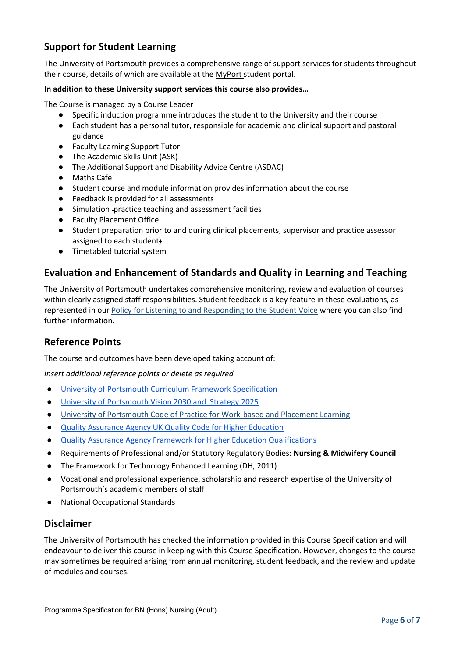## **Support for Student Learning**

The University of Portsmouth provides a comprehensive range of support services for students throughout their course, details of which are available at the [MyPort](http://myport.ac.uk/) student portal.

#### **In addition to these University support services this course also provides…**

The Course is managed by a Course Leader

- Specific induction programme introduces the student to the University and their course
- Each student has a personal tutor, responsible for academic and clinical support and pastoral guidance
- Faculty Learning Support Tutor
- The Academic Skills Unit (ASK)
- The Additional Support and Disability Advice Centre (ASDAC)
- Maths Cafe
- Student course and module information provides information about the course
- Feedback is provided for all assessments
- Simulation practice teaching and assessment facilities
- Faculty Placement Office
- Student preparation prior to and during clinical placements, supervisor and practice assessor assigned to each student)
- Timetabled tutorial system

#### **Evaluation and Enhancement of Standards and Quality in Learning and Teaching**

The University of Portsmouth undertakes comprehensive monitoring, review and evaluation of courses within clearly assigned staff responsibilities. Student feedback is a key feature in these evaluations, as represented in our [Policy for Listening to and Responding to the Student Voice](http://policies.docstore.port.ac.uk/policy-069.pdf) where you can also find further information.

#### **Reference Points**

The course and outcomes have been developed taking account of:

*Insert additional reference points or delete as required*

- [University of Portsmouth Curriculum Framework Specification](http://policies.docstore.port.ac.uk/policy-217.pdf)
- [University of Portsmouth Vision 2030 and Strategy 2025](https://www.port.ac.uk/about-us/our-ambition/our-strategy)
- [University of Portsmouth Code of Practice for Work-based and Placement Learning](http://policies.docstore.port.ac.uk/policy-151.pdf)
- [Quality Assurance Agency UK Quality Code for Higher Education](https://www.qaa.ac.uk/quality-code)
- [Quality Assurance Agency Framework for Higher Education Qualifications](https://www.qaa.ac.uk/quality-code/qualifications-frameworks)
- Requirements of Professional and/or Statutory Regulatory Bodies: **Nursing & Midwifery Council**
- The Framework for Technology Enhanced Learning (DH, 2011)
- Vocational and professional experience, scholarship and research expertise of the University of Portsmouth's academic members of staff
- **National Occupational Standards**

#### **Disclaimer**

The University of Portsmouth has checked the information provided in this Course Specification and will endeavour to deliver this course in keeping with this Course Specification. However, changes to the course may sometimes be required arising from annual monitoring, student feedback, and the review and update of modules and courses.